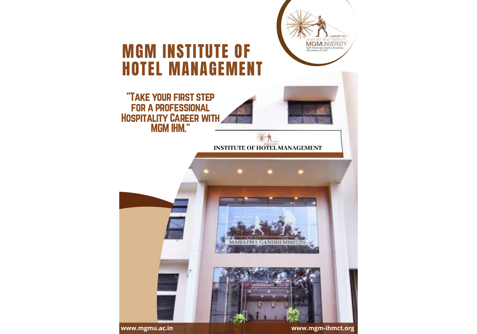

**www.mgmu.ac.in www.mgm-ihmct.org**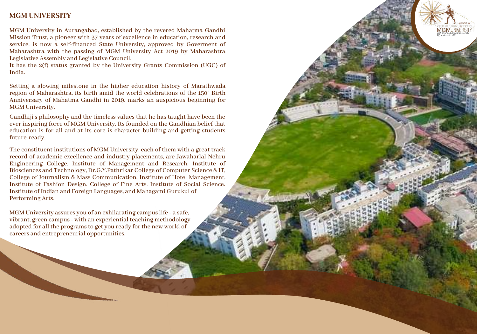#### **MGM UNIVERSITY**

MGM University in Aurangabad, established by the revered Mahatma Gandhi Mission Trust, a pioneer with 37 years of excellence in education, research and service, is now a self-financed State University, approved by Goverment of Maharashtra with the passing of MGM University Act 2019 by Maharashtra Legislative Assembly and Legislative Council.

elf-fin ance nced ced, ed, S d, State Unive niv ersity

MGMUNIVERSIT

2(f) statu sof U GC .  $\subset$ 

It has the  $2(f)$  status granted by the University Grants Commission (UGC) of I n d i a.

Setting a glowing milestone in the higher education history of Marathwada region of Maharashtra, its birth amid the world celebrations of the 150" Birth Anniversary of Mahatma Gandhi in 2019. marks an auspicious beginning for MGM University.

Gandhiji's philosophy and the timeless values that he has taught have been the ever inspiring force of MGM University. Its founded on the Gandhian belief that education is for all-and at its core is character-building and getting students future-ready.

The constituent institutions of MGM University, each of them with a great track record of academic excellence and industry placements, are Jawaharlal Nehru Engineering College. Institute of Management and Research. Institute of Biosciences and Technology, Dr.G.Y.Pathrikar College of Computer Science & IT, College of Journalism & Mass Communication, Institute of Hotel Management, Institute of Fashion Design. College of Fine Arts, Institute of Social Science. Institute of Indian and Foreign Languages, and Mahagami Gurukul of Mission Trust, a plone with sy vesne of excellence in education, research and the passing of MGM University. Any other than the passing of MGM University Art 2019 by Maharashtra (Legislative Assembly and Legislative Counci

MGM University assures you of an exhilarating campus life - a safe, vibrant, green campus- with an experiential teaching methodology adopted for all the programs to get you ready for the new world of careers and entrepreneurial opportunities.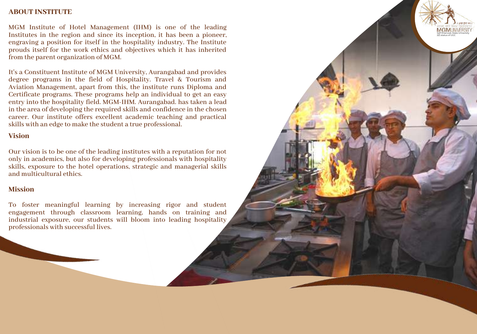#### **ABOUT INSTITUTE**

MGM Institute of Hotel Management (IHM) is one of the leading Institutes in the region and since its inception, it has been a pioneer, engraving a position for itself in the hospitality industry. The Institute prouds itself for the work ethics and objectives which it has inherited from the parent organization of MGM.

elf-fin ance nced ced, ed, S d, State Unive niv ersity

**MGMUNIVERSIT** 2(f) statu sof U GC . C

It's a Constituent Institute of MGM University, Aurangabad and provides degree programs in the field of Hospitality. Travel & Tourism and Aviation Management, apart from this, the institute runs Diploma and Certificate programs. These programs help an individual to get an easy entry into the hospitality field. MGM-IHM. Aurangabad. has taken a lead in the area of developing the required skills and confidence in the chosen career. Our institute offers excellent academic teaching and practical skills with an edge to make the student a true professional. Institutes in the region and since its inception, it has been a pioneer, and pioneer there are the more entired proofs testel for the work ethics and objectives which it has inherited from the parent organis in the field o

#### **Vision**

Our vision is to be one of the leading institutes with a reputation for not only in academics, but also for developing professionals with hospitality skills, exposure to the hotel operations, strategic and managerial skills and multicultural ethics.

#### **Mission**

To foster meaningful learning by increasing rigor and student engagement through classroom learning, hands on training and industrial exposure, our students will bloom into leading hospitality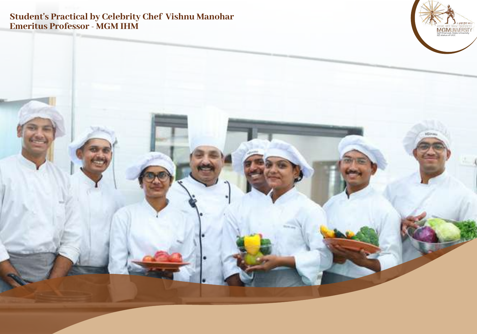# **Student's Practical by Celebrity Chef Vishnu Manohar** Emeritus Professor - MGM IHM

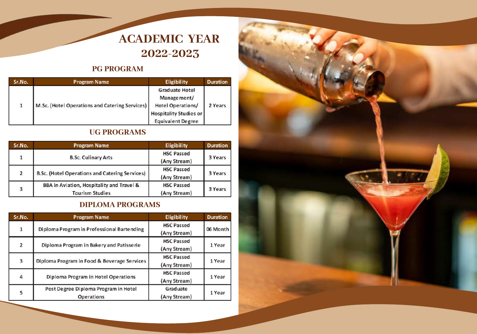# **ACADEMIC YEAR 2022-2023**

# **PG PROGRAM**

| Sr.No. | <b>Program Name</b>                            | Eligibility                                                                                                            | <b>Duration</b> |
|--------|------------------------------------------------|------------------------------------------------------------------------------------------------------------------------|-----------------|
|        | M.Sc. (Hotel Operations and Catering Services) | <b>Graduate Hotel</b><br>Management/<br>Hotel Operations/<br><b>Hospitality Studies or</b><br><b>Equivalent Degree</b> | 2 Years         |

## **UG PROGRAMS**

| Sr.No. | <b>Program Name</b>                                                 | Eligibility                       | <b>Duration</b> |
|--------|---------------------------------------------------------------------|-----------------------------------|-----------------|
|        | <b>B.Sc. Culinary Arts</b>                                          | <b>HSC Passed</b><br>(Any Stream) | 3 Years         |
| 2      | B.Sc. (Hotel Operations and Catering Services)                      | <b>HSC Passed</b><br>(Any Stream) | 3 Years         |
| 3      | BBA in Aviation, Hospitality and Travel &<br><b>Tourism Studies</b> | <b>HSC Passed</b><br>(Any Stream) | 3 Years         |

# **DIPLOMA PROGRAMS**

| Sr.No.         | <b>Program Name</b>                                       | Eligibility                       | <b>Duration</b> |
|----------------|-----------------------------------------------------------|-----------------------------------|-----------------|
| $\mathbf{1}$   | Diploma Program in Professional Bartending                | <b>HSC Passed</b><br>(Any Stream) | 06 Month        |
| $\overline{2}$ | Diploma Program in Bakery and Patisserie                  | <b>HSC Passed</b><br>(Any Stream) | 1 Year          |
| 3              | Diploma Program in Food & Beverage Services               | <b>HSC Passed</b><br>(Any Stream) | 1 Year          |
| 4              | Diploma Program in Hotel Operations                       | <b>HSC Passed</b><br>(Any Stream) | 1 Year          |
| 5              | Post Degree Diploma Program in Hotel<br><b>Operations</b> | Graduate<br>(Any Stream)          | 1 Year          |

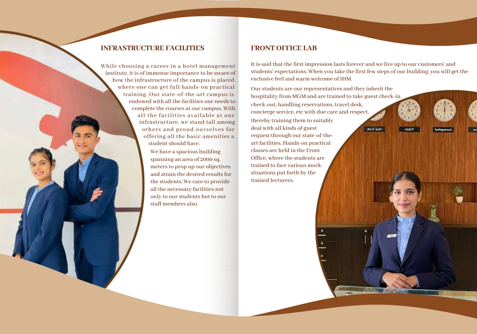#### **INFRASTRUCTURE FACILITIES**

While choosing a career in a hotel management institute, it is of immense importance to be aware of how the infrastructure of the campus is placed. where one can get full hands-on practical training. Our state-of-the-art campus is endowed with all the facilities one needs to complete the courses at our campus. With all the facilities available at our infrastructure, we stand tall among others and proud ourselves for offering all the basic amenities a student should have.

> We have a spacious building spanning an area of 2000 sq. meters to prop up our objectives and attain the desired results for the students. We care to provide all the necessary facilities not only to our students but to our staff members also.

#### **FRONT OFFICE LAB**

It is said that the first impression lasts forever and we live up to our customers' and students' expectations. When you take the first few steps of our building. you will get the exclusive feel and warm welcome of IHM.

Our students are our representatives and they inherit the hospitality from MGM and are trained to take guest check-in. check-out, handling reservations, travel desk, concierge service, etc with due care and respect,thereby training them to suitably deal with all kinds of guest New York request through our state-of-theart facilities. Hands-on practical classes are held in the Front Office, where the students are trained to face various mocksituations put forth by the trained lecturers.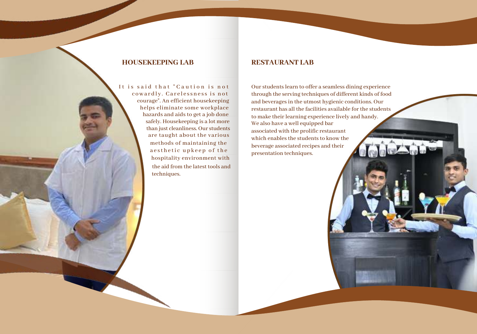#### **HOUSEKEEPING LAB RESTAURANT LAB**

techniques. It is said that "Caution is not cowardly. Carelessness is not courage". An efficient housekeeping helps eliminate some workplace hazards and aids to get a job done safely. Housekeeping is a lot more than just cleanliness. Our students are taught about the various methods of maintaining the a e sthetic upkeep of the the aid from the latest tools and hospitality environment with

We also have a well equipped bar associated with the prolific restaurant which enables the students to know the beverage associated recipes and their presentation techniques. Our students learn to offer a seamless dining experience through the serving techniques of different kinds of food and beverages in the utmost hygienic conditions. Our restaurant has all the facilities available forthe students to make their learning experience lively and handy.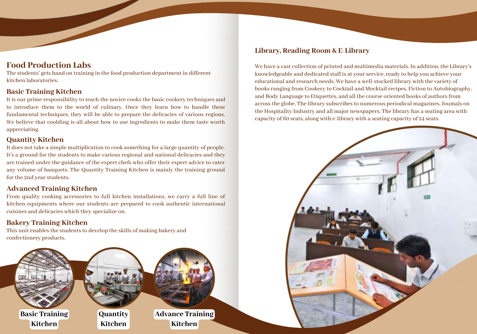### **Food Production Labs**

The students' gets hand on training in the food production department in different kitchen laboratories:

#### **Basic Training Kitchen**

It is our prime responsibility to teach the novice cooks the basic cookery techniques and to introduce them to the world of culinary. Once they learn how to handle these fundamental techniques, they will be able to prepare the delicacies of various regions. We believe that coolding is all about how to use ingredients to make them taste worth appreciating.

#### **Quantity Kitchen**

It does not take a simple multiplication to cook something for a large quantity of people. It's a ground for the students to make various regional and national delicacies and they are trained under the guidance of the expert chefs who offer their expert advice to cater any volume of banquets. The Quantity Training Kitchen is mainly the training ground for the 2nd year students.

#### **Advanced Training Kitchen**

From quality cooking accessories to full kitchen installations, we carry a full line of kitchen equipments where our students are prepared to cook authentic international cuisines and delicacies which they specialize on.

#### **Bakery Training Kitchen**

This unit enables the students to develop the skills of making bakery and confectionery products.



#### **Library, Reading Room & E-Library**

We have a vast collection of printed and multimedia materials. In addition, the Library's knowledgeable and dedicated staff is at your service, ready to help you achieve your educational and research needs. We have a well-stocked library with the variety of books ranging from Cookery to Cocktail and Mocktail recipes, Fiction to Autobiography, and Body Language to Etiquettes, and all the course oriented books of authors from acrossthe globe. The library subscribesto numerous periodical magazines. Joumals on the Hospitality Industry and all major newspapers. The library has a seating area with capacity of 60 seats, along with e-library with a seating capacity of 24 seats.

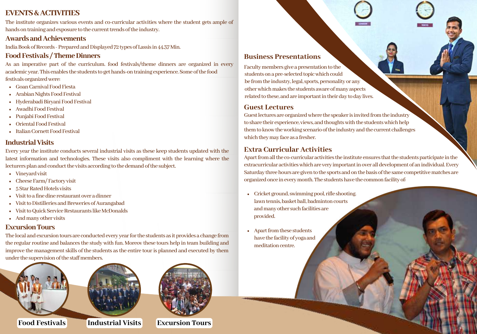### **EVENTS&ACTIVITIES**

The institute organizes various events and co-curricular activities where the student gets ample of hands on training and exposure to the current trends of the industry.

#### **AwardsandAchievements**

India Book of Records - Prepared and Displayed 72 types of Lassis in 44.37 Min.

#### **FoodFestivals /ThemeDinners**

As an imperative part of the curriculum. food festivals/theme dinners are organized in every academicyear.Thisenablesthestudentstogethands-ontrainingexperience.Someofthefood festivals organized were:

- GoanCarnivalFoodFiesta
- Arabian Nights Food Festival
- Hyderabadi Biryani Food Festival
- Awadhi Food Festival
- Punjabi Food Festival
- Oriental Food Festival
- Italian Cornett Food Festival

#### **Industrial Visits**

Every yearthe institute conductsseveral industrial visits asthese keep students updated with the latest information and technologies. These visits also compliment with the learning where the lecturers plan and conduct the visits according to the demand of the subject.

- Vineyard visit
- Cheese Farm/Factory visit
- 5 Star Rated Hotels visits
- Visit to a fine dine restaurant over a dinner
- Visit to Distilleries and Breweries of Aurangabad
- Visit to Quick Service Restaurants like McDonalds
- And many other visits

#### **ExcursionTours**

Thelocalandexcursiontoursareconductedeveryyearforthestudentsasitprovidesachangefrom the regular routine and balances the study with fun. Moreov these tours help in team building and improve the management skills of the students as the entire tour is planned and executed by them under the supervision of the staff members.





**Food Festivals Industrial Visits Excursion Tours**

#### **Business Presentations**

Faculty members give a presentation to the students on a pre-selected topic which could be from the industry, legal, sports, personality or any other which makes the students aware of many aspects related to these, and are important in their day to day lives.

#### **Guest Lectures**

Guest lectures are organized where the speaker is invited from the industry to share their experience, views, and thoughts with the students which help them to know the working scenario of the industry and the current challenges which they may face as a fresher.

### **Extra Curricular Activities**

Apart from all the co-curricular activities the institute ensures that the students participate in the extracurricularactivitieswhichareveryimportantinoveralldevelopmentofanindividual.Every Saturday three hours are given to the sports and on the basis of the same competitive matches are organized once in every month. The students have the common facility of:

- $\bullet$  Cricket ground, swimming pool, rifle shooting. lawn tennis, basket ball, badminton courts and many other such facilities are provided.
- Apart from these students have the facility of yoga and meditation centre.

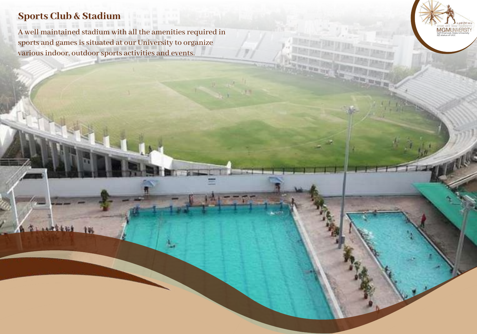# **Sports Club & Stadium**

**BLANKERS IN** 

A well maintained stadium with all the amenities required in sports and games is situated at our University to organize various indoor, outdoor sports activities and event equined in<br>ganize<br>s.

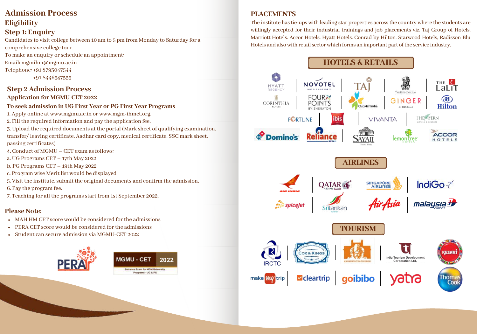# **Admission Process Eligibility**

## **Step 1: Enquiry**

Candidates to visit college between 10 am to 5 pm from Monday to Saturday for a comprehensive college tour.

To make an enquiry or schedule an appointment:

#### Email: mgmihm@mgmu.ac.in

Telephone: +91 8793047544

+91 8446547555

#### **Step 2 Admission Process Application for MGMU-CET 2022**

#### **To seek admission in UG First Year or PG First Year Programs**

1. Apply online at www.mgmu.ac.in or www.mgm-ihmct.org.

- 2. Fill the required information and pay the application fee.
- 3. Upload the required documents at the portal (Mark sheet of qualifying examination, transfer/ leaving certificate, Aadhar card copy, medical certificate, SSC mark sheet,

passing certificates)

- 4. Conduct of MGMU CET exam as follows:
- a. UG Programs CET 17th May 2022
- b. PG Programs CET 19th May 2022
- c. Program wise Merit list would be displayed
- 5. Visit the institute, submit the original documents and confirm the admission.

6. Pay the program fee.

7. Teaching for all the programs start from 1st September 2022.

#### **Please Note:**

- MAH HM CET score would be considered for the admissions
- PERA CET score would be considered for the admissions
- Student can secure admission via MGMU-CET 2022



# **PLACEMENTS**

The institute hastie-ups with leading star properties acrossthe country where the students are willingly accepted for their industrial trainings and job placements viz. Taj Group of Hotels. Marriott Hotels. Accor Hotels. Hyatt Hotels. Conrad by Hilton. Starwood Hotels, Radisson Blu Hotels and alsowith retailsectorwhich forms an important part ofthe service industry.

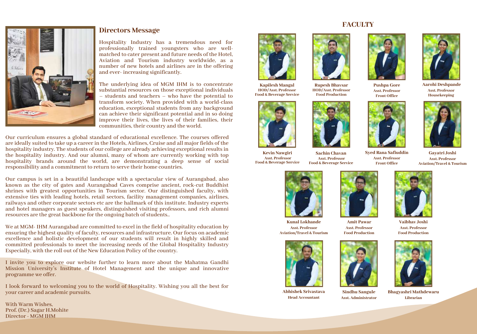

#### **Directors Message**

Hospitality Industry has a tremendous need for professionally trained youngsters who are wellmatched to cater present and future needs of the Hotel, Aviation and Tourism industry worldwide, as a number of new hotels and airlines are in the offering and ever- increasing significantly.

The underlying idea of MGM IHM is to concentrate substantial resources on those exceptional individuals – students and teachers – who have the potential to transform society. When provided with a world-class education, exceptional students from any background can achieve their significant potential and in so doing improve their lives, the lives of their families, their communities, their country and the world.

Our curriculum ensures a global standard of educational excellence. The courses offered are ideally suited to take up a career in the Hotels, Airlines, Cruise and all major fields of the hospitality industry. The students of our college are already achieving exceptional results in the hospitality industry. And our alumni, many of whom are currently working with top hospitality brands around the world, are demonstrating a deep sense of social responsibility and a commitment to return to serve their home countries.

Our campus is set in a beautiful landscape with a spectacular view of Aurangabad, also known as the city of gates and Aurangabad Caves comprise ancient, rock-cut Buddhist shrines with greatest opportunities in Tourism sector. Our distinguished faculty, with extensive ties with leading hotels, retail sectors, facility management companies, airlines, railways and other corporate sectors etc are the hallmark of this institute. Industry experts and hotel managers as guest speakers, distinguished visiting professors, and rich alumni resources are the great backbone for the ongoing batch of students..

We at MGM- IHM Aurangabad are committed to excel in the field of hospitality education by ensuring the highest quality of faculty, resources and infrastructure. Our focus on academic excellence and holistic development of our students will result in highly skilled and committed professionals to meet the increasing needs of the Global Hospitality Industry Especially, with the roll out of the New Education Policy of the country.

I invite you to explore our website further to learn more about the Mahatma Gandhi Mission University's Institute of Hotel Management and the unique and innovative programme we offer.

I look forward to welcoming you to the world of Hospitality. Wishing you all the best for your career and academic pursuits.

With Warm Wishes, Prof. (Dr.) Sagar H.Mohite Director - MGM IHM



**Kapilesh Mangal HOD/Asst. Professor Food & Beverage Service**



**Kevin Nawgiri Asst. Professor Food & Beverage Service**





**FACULTY**



**Asst. Professor Front Office**



**Asst. Professor Housekeeping**



**Sachin Chavan Asst. Professor Food & Beverage Service**

**Asst. Professor Front Office**

**Gayatri Joshi Asst. Professor Aviation/Travel & Tourism**



**Kunal Lokhande Asst. Professor Aviation/Travel & Tourism**



**Abhishek Srivastava Head Accountant**



**Vaibhav Joshi Asst. Professor Food Production**



**Bhagyashri Mathdewaru Librarian**









**Sindhu Sangule Asst. Administrator**